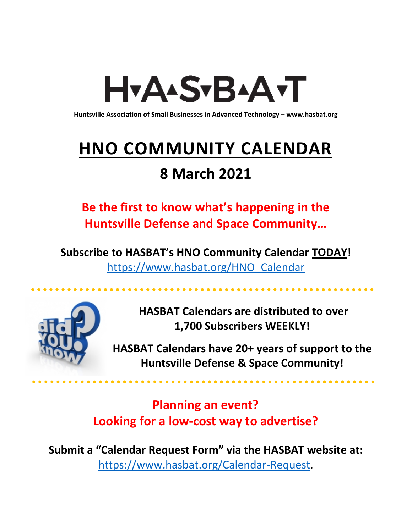# H<sub>Y</sub>AASTBAATT

**Huntsville Association of Small Businesses in Advanced Technology – [www.hasbat.org](http://www.hasbat.org/)**

# **HNO COMMUNITY CALENDAR**

# **8 March 2021**

**Be the first to know what's happening in the Huntsville Defense and Space Community…** 

**Subscribe to HASBAT's HNO Community Calendar TODAY!**  [https://www.hasbat.org/HNO\\_Calendar](https://www.hasbat.org/HNO_Calendar)



**HASBAT Calendars are distributed to over 1,700 Subscribers WEEKLY!**

**HASBAT Calendars have 20+ years of support to the Huntsville Defense & Space Community!** 

**Planning an event? Looking for a low-cost way to advertise?**

**Submit a "Calendar Request Form" via the HASBAT website at:**  [https://www.hasbat.org/Calendar-Request.](https://www.hasbat.org/Calendar-Request)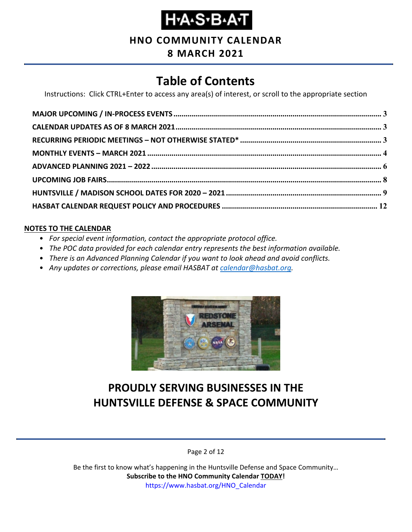**HNO COMMUNITY CALENDAR**

### **8 MARCH 2021**

# **Table of Contents**

Instructions: Click CTRL+Enter to access any area(s) of interest, or scroll to the appropriate section

#### **NOTES TO THE CALENDAR**

- *For special event information, contact the appropriate protocol office.*
- *The POC data provided for each calendar entry represents the best information available.*
- *There is an Advanced Planning Calendar if you want to look ahead and avoid conflicts.*
- *Any updates or corrections, please email HASBAT at [calendar@hasbat.org.](mailto:calendar@hasbat.org)*



## **PROUDLY SERVING BUSINESSES IN THE HUNTSVILLE DEFENSE & SPACE COMMUNITY**

Page 2 of 12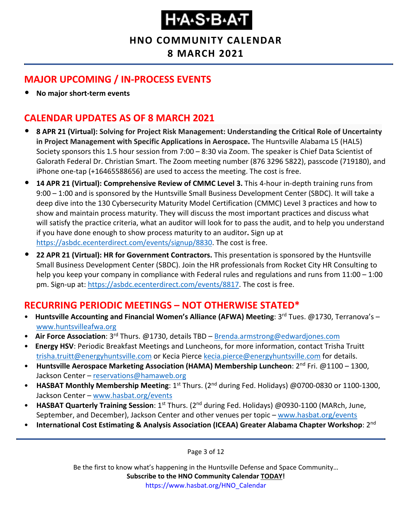**HNO COMMUNITY CALENDAR**

**8 MARCH 2021**

### <span id="page-2-0"></span>**MAJOR UPCOMING / IN-PROCESS EVENTS**

• **No major short-term events**

### <span id="page-2-1"></span>**CALENDAR UPDATES AS OF 8 MARCH 2021**

- **8 APR 21 (Virtual): Solving for Project Risk Management: Understanding the Critical Role of Uncertainty in Project Management with Specific Applications in Aerospace.** The Huntsville Alabama L5 (HAL5) Society sponsors this 1.5 hour session from 7:00 – 8:30 via Zoom. The speaker is Chief Data Scientist of Galorath Federal Dr. Christian Smart. The Zoom meeting number (876 3296 5822), passcode (719180), and iPhone one-tap (+16465588656) are used to access the meeting. The cost is free.
- **14 APR 21 (Virtual): Comprehensive Review of CMMC Level 3.** This 4-hour in-depth training runs from 9:00 – 1:00 and is sponsored by the Huntsville Small Business Development Center (SBDC). It will take a deep dive into the 130 Cybersecurity Maturity Model Certification (CMMC) Level 3 practices and how to show and maintain process maturity. They will discuss the most important practices and discuss what will satisfy the practice criteria, what an auditor will look for to pass the audit, and to help you understand if you have done enough to show process maturity to an auditor**.** Sign up at [https://asbdc.ecenterdirect.com/events/signup/8830.](https://asbdc.ecenterdirect.com/events/signup/8830) The cost is free.
- **22 APR 21 (Virtual): HR for Government Contractors.** This presentation is sponsored by the Huntsville Small Business Development Center (SBDC). Join the HR professionals from Rocket City HR Consulting to help you keep your company in compliance with Federal rules and regulations and runs from 11:00 – 1:00 pm. Sign-up at: [https://asbdc.ecenterdirect.com/events/8817.](https://asbdc.ecenterdirect.com/events/8817) The cost is free.

### <span id="page-2-2"></span>**RECURRING PERIODIC MEETINGS – NOT OTHERWISE STATED\***

- Huntsville Accounting and Financial Women's Alliance (AFWA) Meeting: 3<sup>rd</sup> Tues. @1730, Terranova's [www.huntsvilleafwa.org](http://www.huntsvilleafwa.org/)
- **Air Force Association**: 3<sup>rd</sup> Thurs. @1730, details TBD [Brenda.armstrong@edwardjones.com](mailto:Brenda.armstrong@edwardjones.com)
- **Energy HSV**: Periodic Breakfast Meetings and Luncheons, for more information, contact Trisha Truitt [trisha.truitt@energyhuntsville.com](mailto:trisha.truitt@energyhuntsville.com) or Kecia Pierce [kecia.pierce@energyhuntsville.com](mailto:kecia.pierce@energyhuntsville.com) for details.
- Huntsville Aerospace Marketing Association (HAMA) Membership Luncheon: 2<sup>nd</sup> Fri. @1100 1300, Jackson Center - [reservations@hamaweb.org](mailto:reservations@hamaweb.org)
- **HASBAT Monthly Membership Meeting**: 1<sup>st</sup> Thurs. (2<sup>nd</sup> during Fed. Holidays) @0700-0830 or 1100-1300, Jackson Center – [www.hasbat.org/events](http://www.hasbat.org/events)
- **HASBAT Quarterly Training Session**: 1st Thurs. (2nd during Fed. Holidays) @0930-1100 (MARch, June, September, and December), Jackson Center and other venues per topic – [www.hasbat.org/events](http://www.hasbat.org/events)
- **International Cost Estimating & Analysis Association (ICEAA) Greater Alabama Chapter Workshop**: 2nd

Page 3 of 12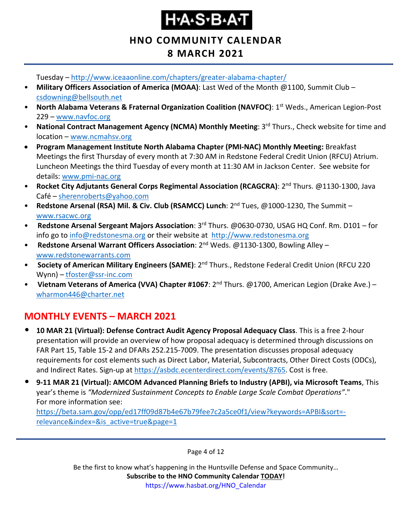**HNO COMMUNITY CALENDAR 8 MARCH 2021**

Tuesday – <http://www.iceaaonline.com/chapters/greater-alabama-chapter/>

- **Military Officers Association of America (MOAA)**: Last Wed of the Month @1100, Summit Club [csdowning@bellsouth.net](mailto:csdowning@bellsouth.net)
- **North Alabama Veterans & Fraternal Organization Coalition (NAVFOC)**: 1st Weds., American Legion-Post 229 – [www.navfoc.org](http://www.navfoc.org/)
- **National Contract Management Agency (NCMA) Monthly Meeting**: 3rd Thurs., Check website for time and location – [www.ncmahsv.org](http://www.ncmahsv.org/)
- **Program Management Institute North Alabama Chapter (PMI-NAC) Monthly Meeting:** Breakfast Meetings the first Thursday of every month at 7:30 AM in Redstone Federal Credit Union (RFCU) Atrium. Luncheon Meetings the third Tuesday of every month at 11:30 AM in Jackson Center. See website for details: [www.pmi-nac.org](http://www.pmi-nac.org/)
- **Rocket City Adjutants General Corps Regimental Association (RCAGCRA)**: 2nd Thurs. @1130-1300, Java Café – [sherenroberts@yahoo.com](mailto:sherenroberts@yahoo.com)
- **Redstone Arsenal (RSA) Mil. & Civ. Club (RSAMCC) Lunch**: 2nd Tues, @1000-1230, The Summit [www.rsacwc.org](http://www.rsacwc.org/)
- **Redstone Arsenal Sergeant Majors Association**: 3rd Thurs. @0630-0730, USAG HQ Conf. Rm. D101 for info go to [info@redstonesma.org](mailto:info@redstonesma.org) or their website at [http://www.redstonesma.org](http://www.redstonesma.org/)
- **Redstone Arsenal Warrant Officers Association**: 2nd Weds. @1130-1300, Bowling Alley [www.redstonewarrants.com](http://www.redstonewarrants.com/)
- **Society of American Military Engineers (SAME)**: 2nd Thurs., Redstone Federal Credit Union (RFCU 220 Wynn) – [tfoster@ssr-inc.com](mailto:tfoster@ssr-inc.com)
- Vietnam Veterans of America (VVA) Chapter #1067: 2<sup>nd</sup> Thurs. @1700, American Legion (Drake Ave.) [wharmon446@charter.net](mailto:wharmon446@charter.net)

### <span id="page-3-0"></span>**MONTHLY EVENTS – MARCH 2021**

- **10 MAR 21 (Virtual): Defense Contract Audit Agency Proposal Adequacy Class**. This is a free 2-hour presentation will provide an overview of how proposal adequacy is determined through discussions on FAR Part 15, Table 15-2 and DFARs 252.215-7009. The presentation discusses proposal adequacy requirements for cost elements such as Direct Labor, Material, Subcontracts, Other Direct Costs (ODCs), and Indirect Rates. Sign-up at [https://asbdc.ecenterdirect.com/events/8765.](https://asbdc.ecenterdirect.com/events/8765) Cost is free.
- **9-11 MAR 21 (Virtual): AMCOM Advanced Planning Briefs to Industry (APBI), via Microsoft Teams**, This year's theme is *"Modernized Sustainment Concepts to Enable Large Scale Combat Operations"*." For more information see:

[https://beta.sam.gov/opp/ed17ff09d87b4e67b79fee7c2a5ce0f1/view?keywords=APBI&sort=](https://beta.sam.gov/opp/ed17ff09d87b4e67b79fee7c2a5ce0f1/view?keywords=APBI&sort=-relevance&index=&is_active=true&page=1) [relevance&index=&is\\_active=true&page=1](https://beta.sam.gov/opp/ed17ff09d87b4e67b79fee7c2a5ce0f1/view?keywords=APBI&sort=-relevance&index=&is_active=true&page=1)

Page 4 of 12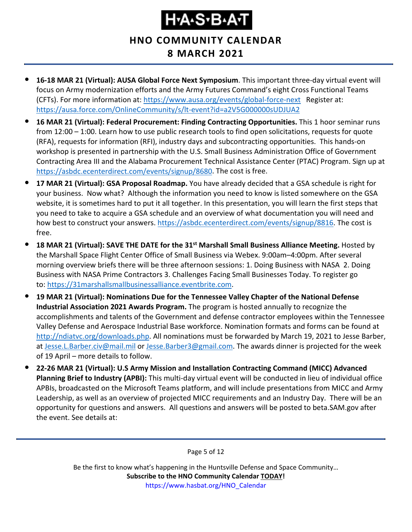**HNO COMMUNITY CALENDAR**

- **8 MARCH 2021**
- **16-18 MAR 21 (Virtual): AUSA Global Force Next Symposium**. This important three-day virtual event will focus on Army modernization efforts and the Army Futures Command's eight Cross Functional Teams (CFTs). For more information at:<https://www.ausa.org/events/global-force-next>Register at: <https://ausa.force.com/OnlineCommunity/s/lt-event?id=a2V5G000000sUDJUA2>
- **16 MAR 21 (Virtual): Federal Procurement: Finding Contracting Opportunities.** This 1 hoor seminar runs from 12:00 – 1:00. Learn how to use public research tools to find open solicitations, requests for quote (RFA), requests for information (RFI), industry days and subcontracting opportunities. This hands-on workshop is presented in partnership with the U.S. Small Business Administration Office of Government Contracting Area III and the Alabama Procurement Technical Assistance Center (PTAC) Program. Sign up at [https://asbdc.ecenterdirect.com/events/signup/8680.](https://asbdc.ecenterdirect.com/events/signup/8680) The cost is free.
- **17 MAR 21 (Virtual): GSA Proposal Roadmap.** You have already decided that a GSA schedule is right for your business. Now what? Although the information you need to know is listed somewhere on the GSA website, it is sometimes hard to put it all together. In this presentation, you will learn the first steps that you need to take to acquire a GSA schedule and an overview of what documentation you will need and how best to construct your answers. [https://asbdc.ecenterdirect.com/events/signup/8816.](https://asbdc.ecenterdirect.com/events/signup/8816) The cost is free.
- **18 MAR 21 (Virtual): SAVE THE DATE for the 31st Marshall Small Business Alliance Meeting.** Hosted by the Marshall Space Flight Center Office of Small Business via Webex. 9:00am–4:00pm. After several morning overview briefs there will be three afternoon sessions: 1. Doing Business with NASA 2. Doing Business with NASA Prime Contractors 3. Challenges Facing Small Businesses Today. To register go to: [https://31marshallsmallbusinessalliance.eventbrite.com.](https://usg02.safelinks.protection.office365.us/?url=https%3A%2F%2F31marshallsmallbusinessalliance.eventbrite.com%2F&data=04%7C01%7C%7C0f36919e37444ab850e108d8d460fcc1%7C4a877cfcec954ba0a4a3f6141161bfa5%7C0%7C1%7C637492860423911697%7CUnknown%7CTWFpbGZsb3d8eyJWIjoiMC4wLjAwMDAiLCJQIjoiV2luMzIiLCJBTiI6Ik1haWwiLCJXVCI6Mn0%3D%7C1000&sdata=QMj299%2BvYAKX2mjW%2FFU48HIa16uVEPpbnpboQjxOPQA%3D&reserved=0)
- **19 MAR 21 (Virtual): Nominations Due for the Tennessee Valley Chapter of the National Defense Industrial Association 2021 Awards Program.** The program is hosted annually to recognize the accomplishments and talents of the Government and defense contractor employees within the Tennessee Valley Defense and Aerospace Industrial Base workforce. Nomination formats and forms can be found at [http://ndiatvc.org/downloads.php.](http://ndiatvc.org/downloads.php) All nominations must be forwarded by March 19, 2021 to Jesse Barber, at [Jesse.L.Barber.civ@mail.mil](mailto:Jesse.L.Barber.civ@mail.mil) or [Jesse.Barber3@gmail.com.](mailto:Jesse.Barber3@gmail.com) The awards dinner is projected for the week of 19 April – more details to follow.
- **22-26 MAR 21 (Virtual): U.S Army Mission and Installation Contracting Command (MICC) Advanced Planning Brief to Industry (APBI):** This multi-day virtual event will be conducted in lieu of individual office APBIs, broadcasted on the Microsoft Teams platform, and will include presentations from MICC and Army Leadership, as well as an overview of projected MICC requirements and an Industry Day. There will be an opportunity for questions and answers. All questions and answers will be posted to beta.SAM.gov after the event. See details at:

Page 5 of 12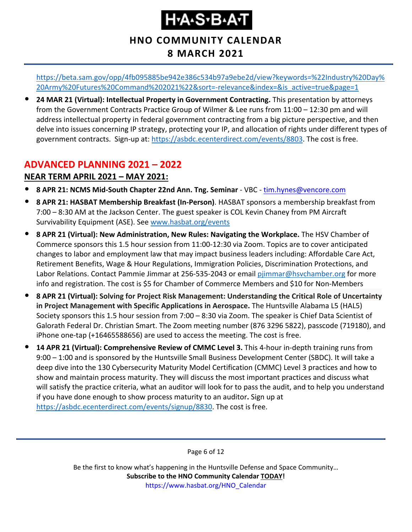### **HNO COMMUNITY CALENDAR 8 MARCH 2021**

[https://beta.sam.gov/opp/4fb095885be942e386c534b97a9ebe2d/view?keywords=%22Industry%20Day%](https://beta.sam.gov/opp/4fb095885be942e386c534b97a9ebe2d/view?keywords=%22Industry%20Day%20Army%20Futures%20Command%202021%22&sort=-relevance&index=&is_active=true&page=1) [20Army%20Futures%20Command%202021%22&sort=-relevance&index=&is\\_active=true&page=1](https://beta.sam.gov/opp/4fb095885be942e386c534b97a9ebe2d/view?keywords=%22Industry%20Day%20Army%20Futures%20Command%202021%22&sort=-relevance&index=&is_active=true&page=1)

• **24 MAR 21 (Virtual): Intellectual Property in Government Contracting.** This presentation by attorneys from the Government Contracts Practice Group of Wilmer & Lee runs from 11:00 – 12:30 pm and will address intellectual property in federal government contracting from a big picture perspective, and then delve into issues concerning IP strategy, protecting your IP, and allocation of rights under different types of government contracts. Sign-up at: [https://asbdc.ecenterdirect.com/events/8803.](https://asbdc.ecenterdirect.com/events/8803) The cost is free.

### <span id="page-5-0"></span>**ADVANCED PLANNING 2021 – 2022**

#### **NEAR TERM APRIL 2021 – MAY 2021:**

- **8 APR 21: NCMS Mid-South Chapter 22nd Ann. Tng. Seminar** VBC [tim.hynes@vencore.com](mailto:tim.hynes@vencore.com)
- **8 APR 21: HASBAT Membership Breakfast (In-Person)**. HASBAT sponsors a membership breakfast from 7:00 – 8:30 AM at the Jackson Center. The guest speaker is COL Kevin Chaney from PM Aircraft Survivability Equipment (ASE). See [www.hasbat.org/events](http://www.hasbat.org/events)
- **8 APR 21 (Virtual): New Administration, New Rules: Navigating the Workplace.** The HSV Chamber of Commerce sponsors this 1.5 hour session from 11:00-12:30 via Zoom. Topics are to cover anticipated changes to labor and employment law that may impact business leaders including: Affordable Care Act, Retirement Benefits, Wage & Hour Regulations, Immigration Policies, Discrimination Protections, and Labor Relations. Contact Pammie Jimmar at 256-535-2043 or email [pjimmar@hsvchamber.org](mailto:pjimmar@hsvchamber.org) for more info and registration. The cost is \$5 for Chamber of Commerce Members and \$10 for Non-Members
- **8 APR 21 (Virtual): Solving for Project Risk Management: Understanding the Critical Role of Uncertainty in Project Management with Specific Applications in Aerospace.** The Huntsville Alabama L5 (HAL5) Society sponsors this 1.5 hour session from 7:00 – 8:30 via Zoom. The speaker is Chief Data Scientist of Galorath Federal Dr. Christian Smart. The Zoom meeting number (876 3296 5822), passcode (719180), and iPhone one-tap (+16465588656) are used to access the meeting. The cost is free.
- **14 APR 21 (Virtual): Comprehensive Review of CMMC Level 3.** This 4-hour in-depth training runs from 9:00 – 1:00 and is sponsored by the Huntsville Small Business Development Center (SBDC). It will take a deep dive into the 130 Cybersecurity Maturity Model Certification (CMMC) Level 3 practices and how to show and maintain process maturity. They will discuss the most important practices and discuss what will satisfy the practice criteria, what an auditor will look for to pass the audit, and to help you understand if you have done enough to show process maturity to an auditor**.** Sign up at [https://asbdc.ecenterdirect.com/events/signup/8830.](https://asbdc.ecenterdirect.com/events/signup/8830) The cost is free.

Page 6 of 12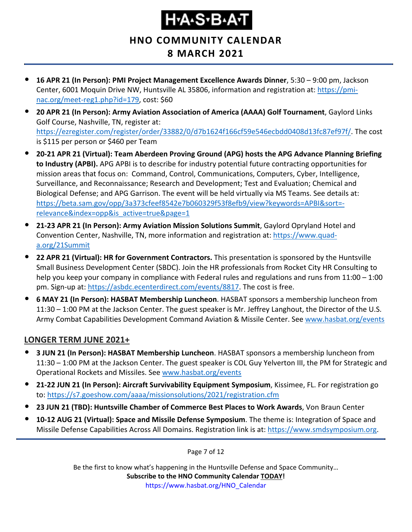# Ҥ҂ѦӠ҂Ѳ҂Ѧӵ

**HNO COMMUNITY CALENDAR**

### **8 MARCH 2021**

- **16 APR 21 (In Person): PMI Project Management Excellence Awards Dinner**, 5:30 9:00 pm, Jackson Center, 6001 Moquin Drive NW, Huntsville AL 35806, information and registration at: [https://pmi](https://pmi-nac.org/meet-reg1.php?id=179)[nac.org/meet-reg1.php?id=179,](https://pmi-nac.org/meet-reg1.php?id=179) cost: \$60
- **20 APR 21 (In Person): Army Aviation Association of America (AAAA) Golf Tournament**, Gaylord Links Golf Course, Nashville, TN, register at: [https://ezregister.com/register/order/33882/0/d7b1624f166cf59e546ecbdd0408d13fc87ef97f/.](https://ezregister.com/register/order/33882/0/d7b1624f166cf59e546ecbdd0408d13fc87ef97f/) The cost is \$115 per person or \$460 per Team
- **20-21 APR 21 (Virtual): Team Aberdeen Proving Ground (APG) hosts the APG Advance Planning Briefing to Industry (APBI).** APG APBI is to describe for industry potential future contracting opportunities for mission areas that focus on: Command, Control, Communications, Computers, Cyber, Intelligence, Surveillance, and Reconnaissance; Research and Development; Test and Evaluation; Chemical and Biological Defense; and APG Garrison. The event will be held virtually via MS Teams. See details at: [https://beta.sam.gov/opp/3a373cfeef8542e7b060329f53f8efb9/view?keywords=APBI&sort=](https://beta.sam.gov/opp/3a373cfeef8542e7b060329f53f8efb9/view?keywords=APBI&sort=-relevance&index=opp&is_active=true&page=1) [relevance&index=opp&is\\_active=true&page=1](https://beta.sam.gov/opp/3a373cfeef8542e7b060329f53f8efb9/view?keywords=APBI&sort=-relevance&index=opp&is_active=true&page=1)
- **21-23 APR 21 (In Person): Army Aviation Mission Solutions Summit**, Gaylord Opryland Hotel and Convention Center, Nashville, TN, more information and registration at: [https://www.quad](https://www.quad-a.org/21Summit)[a.org/21Summit](https://www.quad-a.org/21Summit)
- **22 APR 21 (Virtual): HR for Government Contractors.** This presentation is sponsored by the Huntsville Small Business Development Center (SBDC). Join the HR professionals from Rocket City HR Consulting to help you keep your company in compliance with Federal rules and regulations and runs from 11:00 – 1:00 pm. Sign-up at: [https://asbdc.ecenterdirect.com/events/8817.](https://asbdc.ecenterdirect.com/events/8817) The cost is free.
- **6 MAY 21 (In Person): HASBAT Membership Luncheon**. HASBAT sponsors a membership luncheon from 11:30 – 1:00 PM at the Jackson Center. The guest speaker is Mr. Jeffrey Langhout, the Director of the U.S. Army Combat Capabilities Development Command Aviation & Missile Center. See [www.hasbat.org/events](http://www.hasbat.org/events)

#### **LONGER TERM JUNE 2021+**

- **3 JUN 21 (In Person): HASBAT Membership Luncheon**. HASBAT sponsors a membership luncheon from 11:30 – 1:00 PM at the Jackson Center. The guest speaker is COL Guy Yelverton III, the PM for Strategic and Operational Rockets and Missiles. See [www.hasbat.org/events](http://www.hasbat.org/events)
- **21-22 JUN 21 (In Person): Aircraft Survivability Equipment Symposium**, Kissimee, FL. For registration go to:<https://s7.goeshow.com/aaaa/missionsolutions/2021/registration.cfm>
- **23 JUN 21 (TBD): Huntsville Chamber of Commerce Best Places to Work Awards**, Von Braun Center
- **10-12 AUG 21 (Virtual): Space and Missile Defense Symposium**. The theme is: Integration of Space and Missile Defense Capabilities Across All Domains. Registration link is at: [https://www.smdsymposium.org.](https://www.smdsymposium.org/)

Page 7 of 12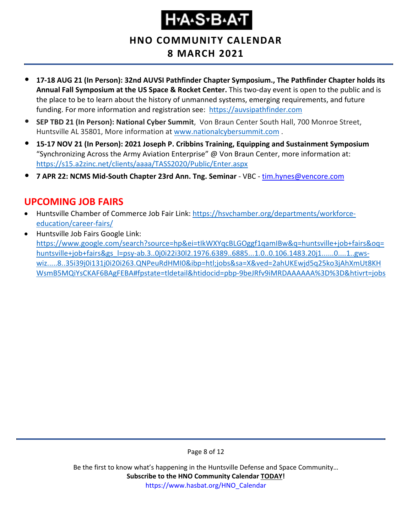# **Н•А•S•В•А•Т**

**HNO COMMUNITY CALENDAR**

### **8 MARCH 2021**

- **17-18 AUG 21 (In Person): 32nd AUVSI Pathfinder Chapter Symposium., The Pathfinder Chapter holds its Annual Fall Symposium at the US Space & Rocket Center.** This two-day event is open to the public and is the place to be to learn about the history of unmanned systems, emerging requirements, and future funding. For more information and registration see: [https://auvsipathfinder.com](https://auvsipathfinder.com/)
- **SEP TBD 21 (In Person): National Cyber Summit**, Von Braun Center South Hall, 700 Monroe Street, Huntsville AL 35801, More information at [www.nationalcybersummit.com](http://www.nationalcybersummit.com/) .
- **15-17 NOV 21 (In Person): 2021 Joseph P. Cribbins Training, Equipping and Sustainment Symposium** "Synchronizing Across the Army Aviation Enterprise" @ Von Braun Center, more information at: <https://s15.a2zinc.net/clients/aaaa/TASS2020/Public/Enter.aspx>
- **7 APR 22: NCMS Mid-South Chapter 23rd Ann. Tng. Seminar** VBC [tim.hynes@vencore.com](mailto:tim.hynes@vencore.com)

### <span id="page-7-0"></span>**UPCOMING JOB FAIRS**

- Huntsville Chamber of Commerce Job Fair Link: [https://hsvchamber.org/departments/workforce](https://hsvchamber.org/departments/workforce-education/career-fairs/)[education/career-fairs/](https://hsvchamber.org/departments/workforce-education/career-fairs/)
- Huntsville Job Fairs Google Link: [https://www.google.com/search?source=hp&ei=tIkWXYqcBLGOggf1qamIBw&q=huntsville+job+fairs&oq=](https://www.google.com/search?source=hp&ei=tIkWXYqcBLGOggf1qamIBw&q=huntsville+job+fairs&oq=huntsville+job+fairs&gs_l=psy-ab.3..0j0i22i30l2.1976.6389..6885...1.0..0.106.1483.20j1......0....1..gws-wiz.....8..35i39j0i131j0i20i263.QNPeuRdHMI0&ibp=htl;jobs&sa=X&ved=2ahUKEwjd5q25ko3jAhXmUt8KHWsmB5MQiYsCKAF6BAgFEBA#fpstate=tldetail&htidocid=pbp-9beJRfv9iMRDAAAAAA%3D%3D&htivrt=jobs) [huntsville+job+fairs&gs\\_l=psy-ab.3..0j0i22i30l2.1976.6389..6885...1.0..0.106.1483.20j1......0....1..gws](https://www.google.com/search?source=hp&ei=tIkWXYqcBLGOggf1qamIBw&q=huntsville+job+fairs&oq=huntsville+job+fairs&gs_l=psy-ab.3..0j0i22i30l2.1976.6389..6885...1.0..0.106.1483.20j1......0....1..gws-wiz.....8..35i39j0i131j0i20i263.QNPeuRdHMI0&ibp=htl;jobs&sa=X&ved=2ahUKEwjd5q25ko3jAhXmUt8KHWsmB5MQiYsCKAF6BAgFEBA#fpstate=tldetail&htidocid=pbp-9beJRfv9iMRDAAAAAA%3D%3D&htivrt=jobs)[wiz.....8..35i39j0i131j0i20i263.QNPeuRdHMI0&ibp=htl;jobs&sa=X&ved=2ahUKEwjd5q25ko3jAhXmUt8KH](https://www.google.com/search?source=hp&ei=tIkWXYqcBLGOggf1qamIBw&q=huntsville+job+fairs&oq=huntsville+job+fairs&gs_l=psy-ab.3..0j0i22i30l2.1976.6389..6885...1.0..0.106.1483.20j1......0....1..gws-wiz.....8..35i39j0i131j0i20i263.QNPeuRdHMI0&ibp=htl;jobs&sa=X&ved=2ahUKEwjd5q25ko3jAhXmUt8KHWsmB5MQiYsCKAF6BAgFEBA#fpstate=tldetail&htidocid=pbp-9beJRfv9iMRDAAAAAA%3D%3D&htivrt=jobs) [WsmB5MQiYsCKAF6BAgFEBA#fpstate=tldetail&htidocid=pbp-9beJRfv9iMRDAAAAAA%3D%3D&htivrt=jobs](https://www.google.com/search?source=hp&ei=tIkWXYqcBLGOggf1qamIBw&q=huntsville+job+fairs&oq=huntsville+job+fairs&gs_l=psy-ab.3..0j0i22i30l2.1976.6389..6885...1.0..0.106.1483.20j1......0....1..gws-wiz.....8..35i39j0i131j0i20i263.QNPeuRdHMI0&ibp=htl;jobs&sa=X&ved=2ahUKEwjd5q25ko3jAhXmUt8KHWsmB5MQiYsCKAF6BAgFEBA#fpstate=tldetail&htidocid=pbp-9beJRfv9iMRDAAAAAA%3D%3D&htivrt=jobs)

Page 8 of 12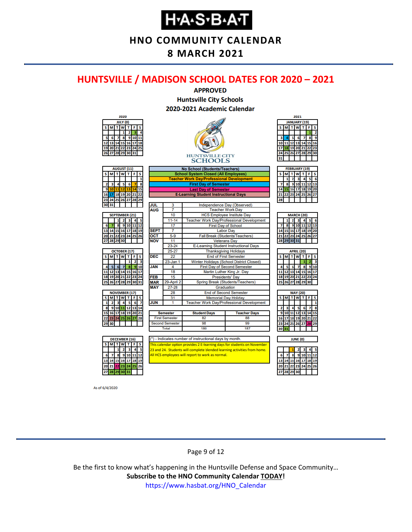**HNO COMMUNITY CALENDAR**

**8 MARCH 2021**

#### <span id="page-8-0"></span>**HUNTSVILLE / MADISON SCHOOL DATES FOR 2020 – 2021**



As of 6/4/2020

#### Page 9 of 12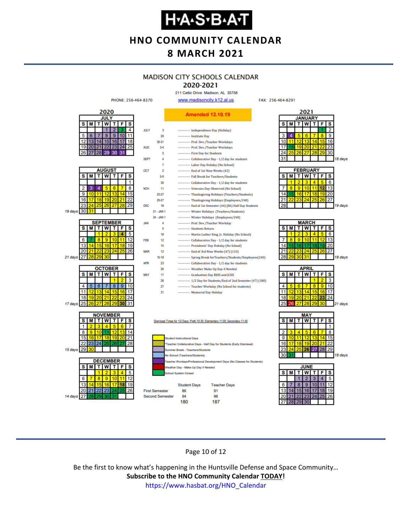**HNO COMMUNITY CALENDAR 8 MARCH 2021**

### **MADISON CITY SCHOOLS CALENDAR**

2020-2021 211 Celtic Drive Madison, AL 35758

FAX: 256-464-8291



Page 10 of 12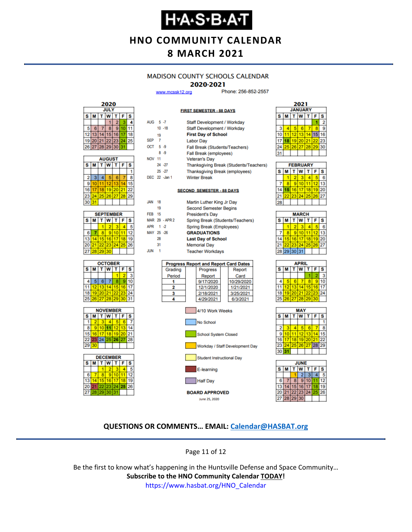# **Н-А-S-В-А-Т**

**HNO COMMUNITY CALENDAR**

# **8 MARCH 2021**

#### **MADISON COUNTY SCHOOLS CALENDAR**

#### 2020-2021

**FIRST SEMESTER - 88 DAYS** 

www.mcssk12.org

Phone: 256-852-2557



| <b>AUGUST</b> |    |    |          |       |    |    |  |
|---------------|----|----|----------|-------|----|----|--|
| s             | М  | T. | lw       | T     | F  | S  |  |
|               |    |    |          |       |    |    |  |
| 2             | 3  |    | 5        | 6     |    | 8  |  |
| 9             | 10 | 11 | 12       | 13    |    | 5  |  |
| 16            | 17 | 18 |          | 19 20 | 21 | 22 |  |
| 23            | 24 |    | 25 26 27 |       | 28 | 29 |  |
| 30            | 31 |    |          |       |    |    |  |

| <b>SEPTEMBER</b> |                  |                 |          |    |    |    |  |
|------------------|------------------|-----------------|----------|----|----|----|--|
| s                | W<br>F<br>s<br>М |                 |          |    |    |    |  |
|                  |                  |                 |          |    |    |    |  |
| 6                |                  | ۹               | g        |    |    | 12 |  |
| 13               | 14 <sub>1</sub>  | 15 <sup>1</sup> | 16       | 17 | 18 |    |  |
| 20               | 211              |                 | 22 23 24 |    | 25 | 26 |  |
|                  | 28               | 29              | 30       |    |    |    |  |







| AUG 5-7                          |                |                | Staff Development / Workday                  |  |  |  |  |  |  |  |
|----------------------------------|----------------|----------------|----------------------------------------------|--|--|--|--|--|--|--|
|                                  |                | $10 - 18$      | <b>Staff Development / Workday</b>           |  |  |  |  |  |  |  |
|                                  | 19             |                | <b>First Day of School</b>                   |  |  |  |  |  |  |  |
| SEP                              | $\overline{7}$ |                | <b>Labor Day</b>                             |  |  |  |  |  |  |  |
| OCT 5-9                          |                |                | Fall Break (Students/Teachers)               |  |  |  |  |  |  |  |
|                                  |                | $8 - 9$        | Fall Break (employees)                       |  |  |  |  |  |  |  |
| <b>NOV 11</b>                    |                |                | <b>Veteran's Day</b>                         |  |  |  |  |  |  |  |
|                                  |                | 24 - 27        | Thanksgiving Break (Students/Teachers)       |  |  |  |  |  |  |  |
|                                  |                | $25 - 27$      | <b>Thanksgiving Break (employees)</b>        |  |  |  |  |  |  |  |
|                                  |                | DEC 22 -Jan 1  | <b>Winter Break</b>                          |  |  |  |  |  |  |  |
|                                  |                |                |                                              |  |  |  |  |  |  |  |
| <b>SECOND SEMESTER - 88 DAYS</b> |                |                |                                              |  |  |  |  |  |  |  |
|                                  |                |                |                                              |  |  |  |  |  |  |  |
| <b>JAN</b>                       | 18             |                | Martin Luther King Jr Day                    |  |  |  |  |  |  |  |
|                                  | 19             |                | <b>Second Semester Begins</b>                |  |  |  |  |  |  |  |
| <b>FEB</b> 15                    |                |                | <b>President's Day</b>                       |  |  |  |  |  |  |  |
|                                  |                | MAR 29 - APR 2 | Spring Break (Students/Teachers)             |  |  |  |  |  |  |  |
| APR 1-2                          |                |                | Spring Break (Employees)                     |  |  |  |  |  |  |  |
| MAY 25 -26                       |                |                | <b>GRADUATIONS</b>                           |  |  |  |  |  |  |  |
|                                  | 28             |                | <b>Last Day of School</b>                    |  |  |  |  |  |  |  |
|                                  | 31             |                | <b>Memorial Day</b>                          |  |  |  |  |  |  |  |
| <b>JUN</b>                       | 1              |                | <b>Teacher Workdays</b>                      |  |  |  |  |  |  |  |
|                                  |                |                |                                              |  |  |  |  |  |  |  |
|                                  |                |                | <b>Progress Report and Report Card Dates</b> |  |  |  |  |  |  |  |
|                                  |                | Grading        | Progress<br>Report                           |  |  |  |  |  |  |  |
|                                  |                | Period         | Card<br>Report                               |  |  |  |  |  |  |  |
|                                  |                | 1              | 9/17/2020<br>10/29/2020                      |  |  |  |  |  |  |  |
|                                  |                | 2              | 12/1/2020<br>1/21/2021                       |  |  |  |  |  |  |  |
|                                  |                | 3              | 2/18/2021<br>3/25/2021                       |  |  |  |  |  |  |  |
|                                  |                | 4              | 4/29/2021<br>6/3/2021                        |  |  |  |  |  |  |  |
|                                  |                |                |                                              |  |  |  |  |  |  |  |



| <b>FEBRUARY</b> |   |    |                   |                 |       |    |  |  |
|-----------------|---|----|-------------------|-----------------|-------|----|--|--|
| s               | М |    | T W T             |                 | F     | S  |  |  |
|                 |   | 2  | з                 |                 | 5     | ĥ  |  |  |
|                 |   | 91 | 10                |                 | 12    | 13 |  |  |
| 14              |   |    | $16$ 17           | 18 <sup>1</sup> | 19 20 |    |  |  |
|                 |   |    | 22 23 24 25 26 27 |                 |       |    |  |  |
|                 |   |    |                   |                 |       |    |  |  |

| <b>MARCH</b> |             |    |    |    |          |    |  |  |
|--------------|-------------|----|----|----|----------|----|--|--|
| S            | м           |    | W  |    | F        | S  |  |  |
|              |             | 2  |    |    |          | 6  |  |  |
|              | 8           | ğ  |    |    | <b>Q</b> | 13 |  |  |
| 14           | 15          | 16 | 17 | 18 | 19       | 20 |  |  |
| 21           |             | 23 | 24 | 25 | 26       | 27 |  |  |
|              | 28 29 30 31 |    |    |    |          |    |  |  |
|              |             |    |    |    |          |    |  |  |

| APRIL           |          |          |                   |       |   |           |  |  |
|-----------------|----------|----------|-------------------|-------|---|-----------|--|--|
| s               | M        | т        | lw                | т     | F | S         |  |  |
|                 |          |          |                   |       |   | 3         |  |  |
| 4               | 5        | 6        |                   | 8     | 9 | 10        |  |  |
| 11              |          | 12 13 14 |                   | 15    |   | $16$   17 |  |  |
| 18 <sup>1</sup> |          |          | 19 20 21 22 23 24 |       |   |           |  |  |
| 25              | 26 27 28 |          |                   | 29 30 |   |           |  |  |
|                 |          |          |                   |       |   |           |  |  |





#### **QUESTIONS OR COMMENTS… EMAIL: [Calendar@HASBAT.org](mailto:calendar@hasbat.org)**

June 25, 2020

Page 11 of 12